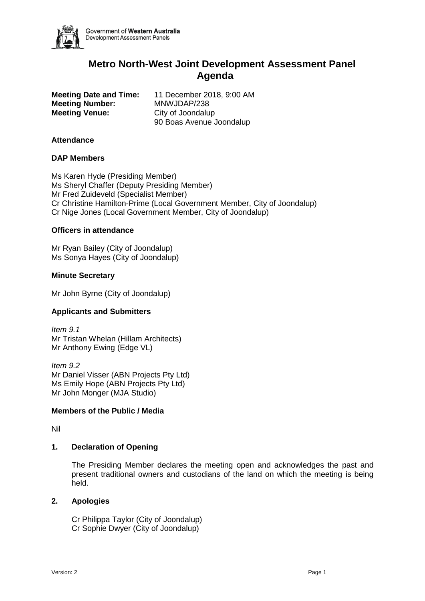

Government of Western Australia Development Assessment Panels

# **Metro North-West Joint Development Assessment Panel Agenda**

**Meeting Number:** MNWJDAP/238 **Meeting Venue:** City of Joondalup

**Meeting Date and Time:** 11 December 2018, 9:00 AM 90 Boas Avenue Joondalup

# **Attendance**

# **DAP Members**

Ms Karen Hyde (Presiding Member) Ms Sheryl Chaffer (Deputy Presiding Member) Mr Fred Zuideveld (Specialist Member) Cr Christine Hamilton-Prime (Local Government Member, City of Joondalup) Cr Nige Jones (Local Government Member, City of Joondalup)

# **Officers in attendance**

Mr Ryan Bailey (City of Joondalup) Ms Sonya Hayes (City of Joondalup)

#### **Minute Secretary**

Mr John Byrne (City of Joondalup)

# **Applicants and Submitters**

*Item 9.1* Mr Tristan Whelan (Hillam Architects) Mr Anthony Ewing (Edge VL)

*Item 9.2* Mr Daniel Visser (ABN Projects Pty Ltd) Ms Emily Hope (ABN Projects Pty Ltd) Mr John Monger (MJA Studio)

# **Members of the Public / Media**

Nil

# **1. Declaration of Opening**

The Presiding Member declares the meeting open and acknowledges the past and present traditional owners and custodians of the land on which the meeting is being held.

# **2. Apologies**

Cr Philippa Taylor (City of Joondalup) Cr Sophie Dwyer (City of Joondalup)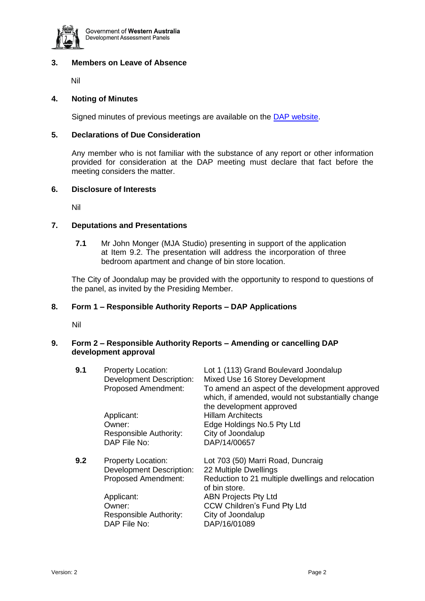

# **3. Members on Leave of Absence**

Nil

#### **4. Noting of Minutes**

Signed minutes of previous meetings are available on the [DAP website.](https://www.planning.wa.gov.au/7578.aspx)

#### **5. Declarations of Due Consideration**

Any member who is not familiar with the substance of any report or other information provided for consideration at the DAP meeting must declare that fact before the meeting considers the matter.

# **6. Disclosure of Interests**

Nil

#### **7. Deputations and Presentations**

**7.1** Mr John Monger (MJA Studio) presenting in support of the application at Item 9.2. The presentation will address the incorporation of three bedroom apartment and change of bin store location.

The City of Joondalup may be provided with the opportunity to respond to questions of the panel, as invited by the Presiding Member.

#### **8. Form 1 – Responsible Authority Reports – DAP Applications**

Nil

#### **9. Form 2 – Responsible Authority Reports – Amending or cancelling DAP development approval**

| 9.1 | <b>Property Location:</b><br><b>Development Description:</b><br>Proposed Amendment:<br>Applicant:<br>Owner:<br>Responsible Authority:<br>DAP File No:        | Lot 1 (113) Grand Boulevard Joondalup<br>Mixed Use 16 Storey Development<br>To amend an aspect of the development approved<br>which, if amended, would not substantially change<br>the development approved<br><b>Hillam Architects</b><br>Edge Holdings No.5 Pty Ltd<br>City of Joondalup<br>DAP/14/00657 |
|-----|--------------------------------------------------------------------------------------------------------------------------------------------------------------|------------------------------------------------------------------------------------------------------------------------------------------------------------------------------------------------------------------------------------------------------------------------------------------------------------|
| 9.2 | <b>Property Location:</b><br><b>Development Description:</b><br><b>Proposed Amendment:</b><br>Applicant:<br>Owner:<br>Responsible Authority:<br>DAP File No: | Lot 703 (50) Marri Road, Duncraig<br>22 Multiple Dwellings<br>Reduction to 21 multiple dwellings and relocation<br>of bin store.<br><b>ABN Projects Pty Ltd</b><br><b>CCW Children's Fund Pty Ltd</b><br>City of Joondalup<br>DAP/16/01089                                                                 |